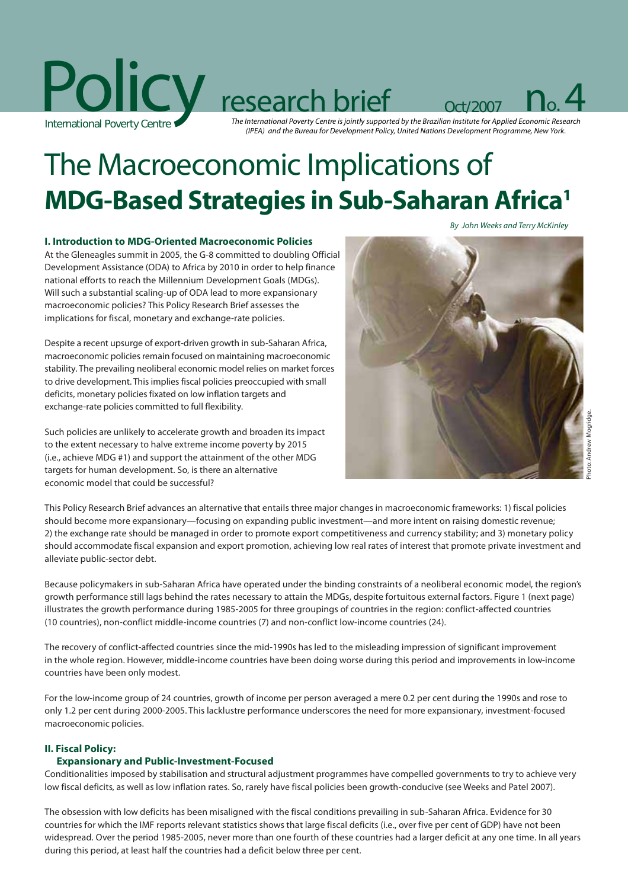

The International Poverty Centre is jointly supported by the Brazilian Institute for Applied Economic Research (IPEA) and the Bureau for Development Policy, United Nations Development Programme, New York.

# The Macroeconomic Implications of **MDG-Based Strategies in Sub-Saharan Africa1**

## **I. Introduction to MDG-Oriented Macroeconomic Policies**

At the Gleneagles summit in 2005, the G-8 committed to doubling Official Development Assistance (ODA) to Africa by 2010 in order to help finance national efforts to reach the Millennium Development Goals (MDGs). Will such a substantial scaling-up of ODA lead to more expansionary macroeconomic policies? This Policy Research Brief assesses the implications for fiscal, monetary and exchange-rate policies.

Despite a recent upsurge of export-driven growth in sub-Saharan Africa, macroeconomic policies remain focused on maintaining macroeconomic stability. The prevailing neoliberal economic model relies on market forces to drive development. This implies fiscal policies preoccupied with small deficits, monetary policies fixated on low inflation targets and exchange-rate policies committed to full flexibility.

Such policies are unlikely to accelerate growth and broaden its impact to the extent necessary to halve extreme income poverty by 2015 (i.e., achieve MDG #1) and support the attainment of the other MDG targets for human development. So, is there an alternative economic model that could be successful?

By John Weeks and Terry McKinley

This Policy Research Brief advances an alternative that entails three major changes in macroeconomic frameworks: 1) fiscal policies should become more expansionary—focusing on expanding public investment—and more intent on raising domestic revenue; 2) the exchange rate should be managed in order to promote export competitiveness and currency stability; and 3) monetary policy should accommodate fiscal expansion and export promotion, achieving low real rates of interest that promote private investment and alleviate public-sector debt.

Because policymakers in sub-Saharan Africa have operated under the binding constraints of a neoliberal economic model, the region's growth performance still lags behind the rates necessary to attain the MDGs, despite fortuitous external factors. Figure 1 (next page) illustrates the growth performance during 1985-2005 for three groupings of countries in the region: conflict-affected countries (10 countries), non-conflict middle-income countries (7) and non-conflict low-income countries (24).

The recovery of conflict-affected countries since the mid-1990s has led to the misleading impression of significant improvement in the whole region. However, middle-income countries have been doing worse during this period and improvements in low-income countries have been only modest.

For the low-income group of 24 countries, growth of income per person averaged a mere 0.2 per cent during the 1990s and rose to only 1.2 per cent during 2000-2005. This lacklustre performance underscores the need for more expansionary, investment-focused macroeconomic policies.

## **II. Fiscal Policy:**

## **Expansionary and Public-Investment-Focused**

Conditionalities imposed by stabilisation and structural adjustment programmes have compelled governments to try to achieve very low fiscal deficits, as well as low inflation rates. So, rarely have fiscal policies been growth-conducive (see Weeks and Patel 2007).

The obsession with low deficits has been misaligned with the fiscal conditions prevailing in sub-Saharan Africa. Evidence for 30 countries for which the IMF reports relevant statistics shows that large fiscal deficits (i.e., over five per cent of GDP) have not been widespread. Over the period 1985-2005, never more than one fourth of these countries had a larger deficit at any one time. In all years during this period, at least half the countries had a deficit below three per cent.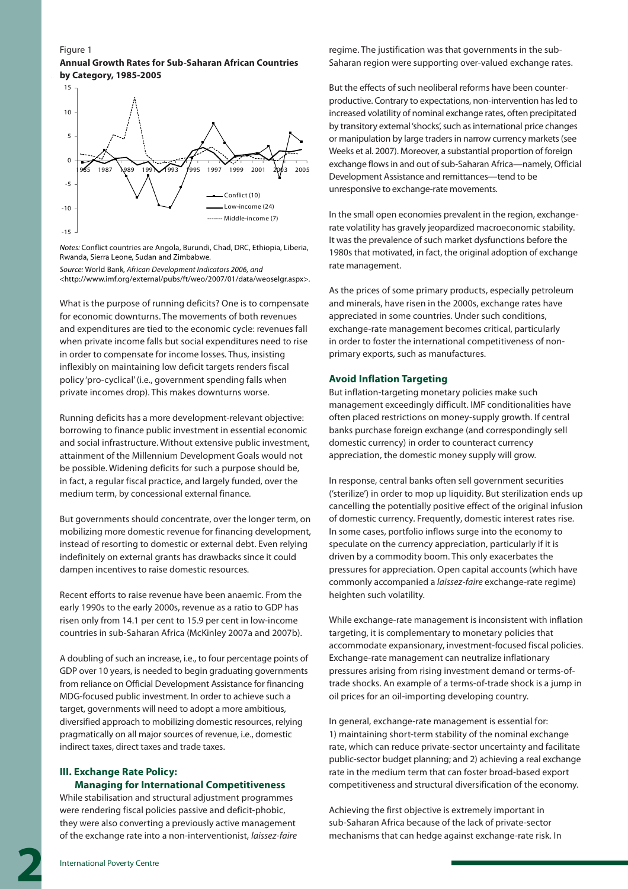#### Figure 1





Notes: Conflict countries are Angola, Burundi, Chad, DRC, Ethiopia, Liberia, Rwanda, Sierra Leone, Sudan and Zimbabwe.

Source: World Bank, African Development Indicators 2006, and <http://www.imf.org/external/pubs/ft/weo/2007/01/data/weoselgr.aspx>.

What is the purpose of running deficits? One is to compensate for economic downturns. The movements of both revenues and expenditures are tied to the economic cycle: revenues fall when private income falls but social expenditures need to rise in order to compensate for income losses. Thus, insisting inflexibly on maintaining low deficit targets renders fiscal policy 'pro-cyclical' (i.e., government spending falls when private incomes drop). This makes downturns worse.

Running deficits has a more development-relevant objective: borrowing to finance public investment in essential economic and social infrastructure. Without extensive public investment, attainment of the Millennium Development Goals would not be possible. Widening deficits for such a purpose should be, in fact, a regular fiscal practice, and largely funded, over the medium term, by concessional external finance.

But governments should concentrate, over the longer term, on mobilizing more domestic revenue for financing development, instead of resorting to domestic or external debt. Even relying indefinitely on external grants has drawbacks since it could dampen incentives to raise domestic resources.

Recent efforts to raise revenue have been anaemic. From the early 1990s to the early 2000s, revenue as a ratio to GDP has risen only from 14.1 per cent to 15.9 per cent in low-income countries in sub-Saharan Africa (McKinley 2007a and 2007b).

A doubling of such an increase, i.e., to four percentage points of GDP over 10 years, is needed to begin graduating governments from reliance on Official Development Assistance for financing MDG-focused public investment. In order to achieve such a target, governments will need to adopt a more ambitious, diversified approach to mobilizing domestic resources, relying pragmatically on all major sources of revenue, i.e., domestic indirect taxes, direct taxes and trade taxes.

## **III. Exchange Rate Policy: Managing for International Competitiveness**

While stabilisation and structural adjustment programmes were rendering fiscal policies passive and deficit-phobic, they were also converting a previously active management of the exchange rate into a non-interventionist, laissez-faire regime. The justification was that governments in the sub-Saharan region were supporting over-valued exchange rates.

But the effects of such neoliberal reforms have been counterproductive. Contrary to expectations, non-intervention has led to increased volatility of nominal exchange rates, often precipitated by transitory external 'shocks', such as international price changes or manipulation by large traders in narrow currency markets (see Weeks et al. 2007). Moreover, a substantial proportion of foreign exchange flows in and out of sub-Saharan Africa—namely, Official Development Assistance and remittances—tend to be unresponsive to exchange-rate movements.

In the small open economies prevalent in the region, exchangerate volatility has gravely jeopardized macroeconomic stability. It was the prevalence of such market dysfunctions before the 1980s that motivated, in fact, the original adoption of exchange rate management.

As the prices of some primary products, especially petroleum and minerals, have risen in the 2000s, exchange rates have appreciated in some countries. Under such conditions, exchange-rate management becomes critical, particularly in order to foster the international competitiveness of nonprimary exports, such as manufactures.

#### **Avoid Inflation Targeting**

But inflation-targeting monetary policies make such management exceedingly difficult. IMF conditionalities have often placed restrictions on money-supply growth. If central banks purchase foreign exchange (and correspondingly sell domestic currency) in order to counteract currency appreciation, the domestic money supply will grow.

In response, central banks often sell government securities ('sterilize') in order to mop up liquidity. But sterilization ends up cancelling the potentially positive effect of the original infusion of domestic currency. Frequently, domestic interest rates rise. In some cases, portfolio inflows surge into the economy to speculate on the currency appreciation, particularly if it is driven by a commodity boom. This only exacerbates the pressures for appreciation. Open capital accounts (which have commonly accompanied a laissez-faire exchange-rate regime) heighten such volatility.

While exchange-rate management is inconsistent with inflation targeting, it is complementary to monetary policies that accommodate expansionary, investment-focused fiscal policies. Exchange-rate management can neutralize inflationary pressures arising from rising investment demand or terms-oftrade shocks. An example of a terms-of-trade shock is a jump in oil prices for an oil-importing developing country.

In general, exchange-rate management is essential for: 1) maintaining short-term stability of the nominal exchange rate, which can reduce private-sector uncertainty and facilitate public-sector budget planning; and 2) achieving a real exchange rate in the medium term that can foster broad-based export competitiveness and structural diversification of the economy.

Achieving the first objective is extremely important in sub-Saharan Africa because of the lack of private-sector mechanisms that can hedge against exchange-rate risk. In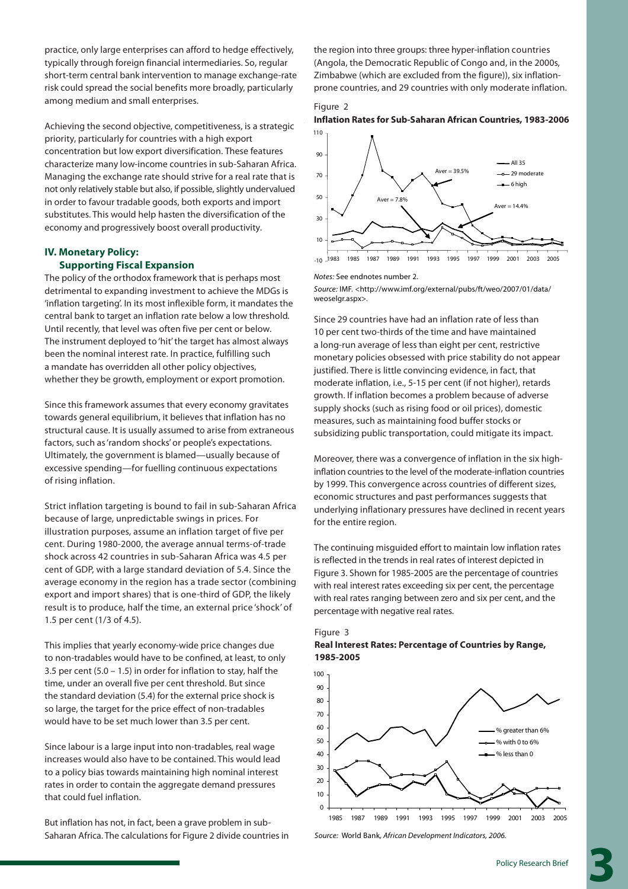practice, only large enterprises can afford to hedge effectively, typically through foreign financial intermediaries. So, regular short-term central bank intervention to manage exchange-rate risk could spread the social benefits more broadly, particularly among medium and small enterprises.

Achieving the second objective, competitiveness, is a strategic priority, particularly for countries with a high export concentration but low export diversification. These features characterize many low-income countries in sub-Saharan Africa. Managing the exchange rate should strive for a real rate that is not only relatively stable but also, if possible, slightly undervalued in order to favour tradable goods, both exports and import substitutes. This would help hasten the diversification of the economy and progressively boost overall productivity.

# **IV. Monetary Policy: Supporting Fiscal Expansion**

The policy of the orthodox framework that is perhaps most detrimental to expanding investment to achieve the MDGs is 'inflation targeting'. In its most inflexible form, it mandates the central bank to target an inflation rate below a low threshold. Until recently, that level was often five per cent or below. The instrument deployed to 'hit' the target has almost always been the nominal interest rate. In practice, fulfilling such a mandate has overridden all other policy objectives, whether they be growth, employment or export promotion.

Since this framework assumes that every economy gravitates towards general equilibrium, it believes that inflation has no structural cause. It is usually assumed to arise from extraneous factors, such as 'random shocks' or people's expectations. Ultimately, the government is blamed—usually because of excessive spending—for fuelling continuous expectations of rising inflation.

Strict inflation targeting is bound to fail in sub-Saharan Africa because of large, unpredictable swings in prices. For illustration purposes, assume an inflation target of five per cent. During 1980-2000, the average annual terms-of-trade shock across 42 countries in sub-Saharan Africa was 4.5 per cent of GDP, with a large standard deviation of 5.4. Since the average economy in the region has a trade sector (combining export and import shares) that is one-third of GDP, the likely result is to produce, half the time, an external price 'shock' of 1.5 per cent (1/3 of 4.5).

This implies that yearly economy-wide price changes due to non-tradables would have to be confined, at least, to only 3.5 per cent (5.0 – 1.5) in order for inflation to stay, half the time, under an overall five per cent threshold. But since the standard deviation (5.4) for the external price shock is so large, the target for the price effect of non-tradables would have to be set much lower than 3.5 per cent.

Since labour is a large input into non-tradables, real wage increases would also have to be contained. This would lead to a policy bias towards maintaining high nominal interest rates in order to contain the aggregate demand pressures that could fuel inflation.

But inflation has not, in fact, been a grave problem in sub-Saharan Africa. The calculations for Figure 2 divide countries in the region into three groups: three hyper-inflation countries (Angola, the Democratic Republic of Congo and, in the 2000s, Zimbabwe (which are excluded from the figure)), six inflationprone countries, and 29 countries with only moderate inflation.

### Figure 2

## **Inflation Rates for Sub-Saharan African Countries, 1983-2006**



Notes: See endnotes number 2.

Source: IMF. <http://www.imf.org/external/pubs/ft/weo/2007/01/data/ weoselgr.aspx>.

Since 29 countries have had an inflation rate of less than 10 per cent two-thirds of the time and have maintained a long-run average of less than eight per cent, restrictive monetary policies obsessed with price stability do not appear justified. There is little convincing evidence, in fact, that moderate inflation, i.e., 5-15 per cent (if not higher), retards growth. If inflation becomes a problem because of adverse supply shocks (such as rising food or oil prices), domestic measures, such as maintaining food buffer stocks or subsidizing public transportation, could mitigate its impact.

Moreover, there was a convergence of inflation in the six highinflation countries to the level of the moderate-inflation countries by 1999. This convergence across countries of different sizes, economic structures and past performances suggests that underlying inflationary pressures have declined in recent years for the entire region.

The continuing misguided effort to maintain low inflation rates is reflected in the trends in real rates of interest depicted in Figure 3. Shown for 1985-2005 are the percentage of countries with real interest rates exceeding six per cent, the percentage with real rates ranging between zero and six per cent, and the percentage with negative real rates.

#### Figure 3

## **Real Interest Rates: Percentage of Countries by Range, 1985-2005**



Source: World Bank, African Development Indicators, 2006.